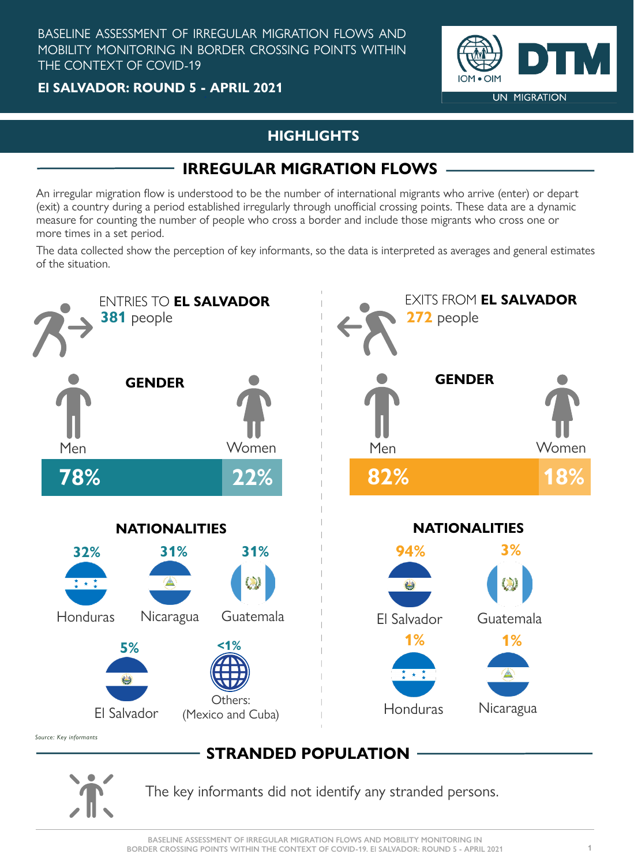The key informants did not identify any stranded persons.

**BASELINE ASSESSMENT OF IRREGULAR MIGRATION FLOWS AND MOBILITY MONITORING IN**  BORDER CROSSING POINTS WITHIN THE CONTEXT OF COVID-19. EI SALVADOR: ROUND 5 - APRIL 2021 **1** 

**El SALVADOR: ROUND 5 - APRIL 2021**



BASELINE ASSESSMENT OF IRREGULAR MIGRATION FLOWS AND MOBILITY MONITORING IN BORDER CROSSING POINTS WITHIN THE CONTEXT OF COVID-19

An irregular migration flow is understood to be the number of international migrants who arrive (enter) or depart (exit) a country during a period established irregularly through unofficial crossing points. These data are a dynamic measure for counting the number of people who cross a border and include those migrants who cross one or more times in a set period.

## **HIGHLIGHTS**

# **IRREGULAR MIGRATION FLOWS**

The data collected show the perception of key informants, so the data is interpreted as averages and general estimates of the situation.



Source: Key informants

# **STRANDED POPULATION**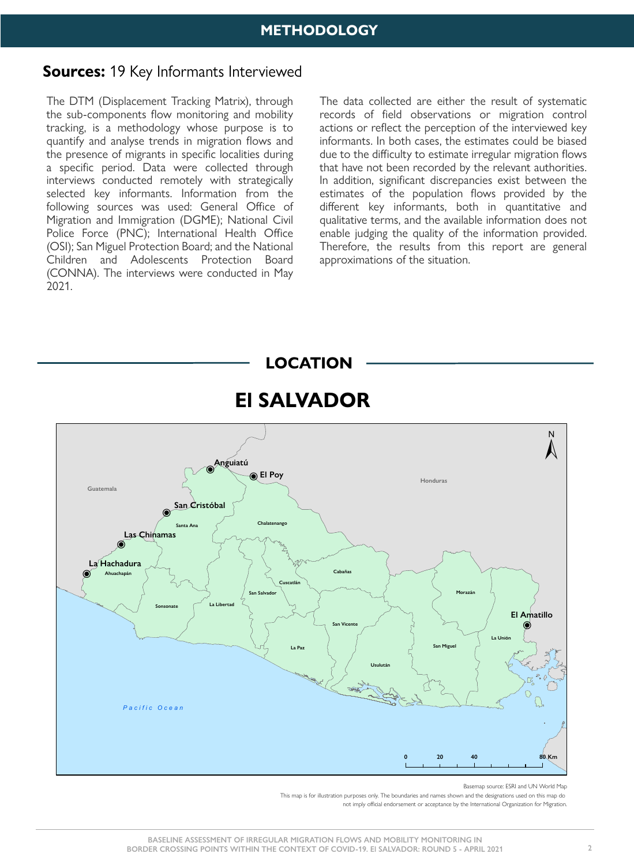The DTM (Displacement Tracking Matrix), through the sub-components flow monitoring and mobility tracking, is a methodology whose purpose is to quantify and analyse trends in migration flows and the presence of migrants in specific localities during a specific period. Data were collected through interviews conducted remotely with strategically selected key informants. Information from the following sources was used: General Office of Migration and Immigration (DGME); National Civil Police Force (PNC); International Health Office (OSI); San Miguel Protection Board; and the National Children and Adolescents Protection Board (CONNA). The interviews were conducted in May 2021.

The data collected are either the result of systematic records of field observations or migration control actions or reflect the perception of the interviewed key informants. In both cases, the estimates could be biased due to the difficulty to estimate irregular migration flows that have not been recorded by the relevant authorities. In addition, significant discrepancies exist between the estimates of the population flows provided by the different key informants, both in quantitative and qualitative terms, and the available information does not enable judging the quality of the information provided. Therefore, the results from this report are general approximations of the situation.



Basemap source: ESRI and UN World Map This map is for illustration purposes only. The boundaries and names shown and the designations used on this map do not imply official endorsement or acceptance by the International Organization for Migration.

### **METHODOLOGY**

### **Sources:** 19 Key Informants Interviewed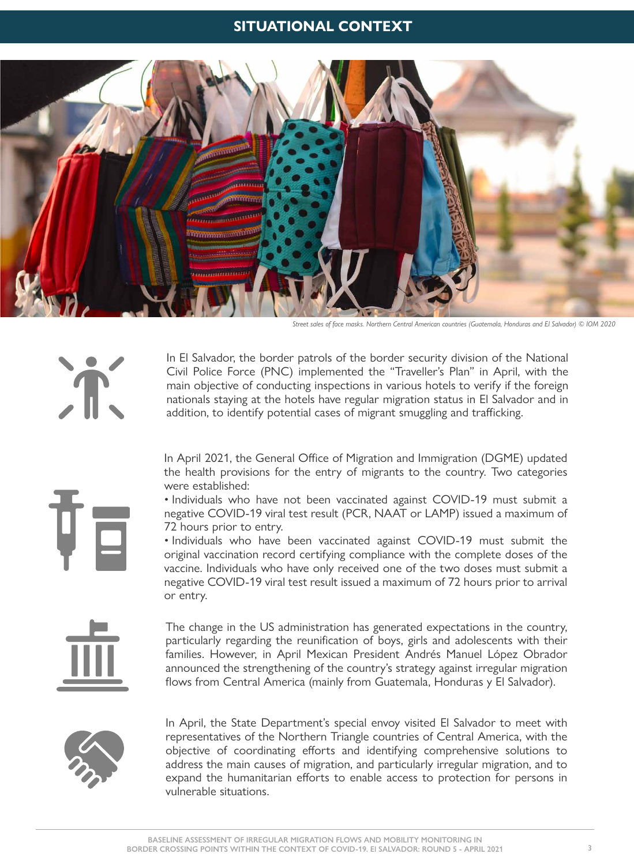In April 2021, the General Office of Migration and Immigration (DGME) updated the health provisions for the entry of migrants to the country. Two categories

were established:

• Individuals who have not been vaccinated against COVID-19 must submit a negative COVID-19 viral test result (PCR, NAAT or LAMP) issued a maximum of 72 hours prior to entry.

In El Salvador, the border patrols of the border security division of the National Civil Police Force (PNC) implemented the "Traveller's Plan" in April, with the main objective of conducting inspections in various hotels to verify if the foreign nationals staying at the hotels have regular migration status in El Salvador and in addition, to identify potential cases of migrant smuggling and trafficking.

• Individuals who have been vaccinated against COVID-19 must submit the original vaccination record certifying compliance with the complete doses of the vaccine. Individuals who have only received one of the two doses must submit a negative COVID-19 viral test result issued a maximum of 72 hours prior to arrival or entry.

The change in the US administration has generated expectations in the country, particularly regarding the reunification of boys, girls and adolescents with their families. However, in April Mexican President Andrés Manuel López Obrador announced the strengthening of the country's strategy against irregular migration flows from Central America (mainly from Guatemala, Honduras y El Salvador).



In April, the State Department's special envoy visited El Salvador to meet with representatives of the Northern Triangle countries of Central America, with the objective of coordinating efforts and identifying comprehensive solutions to address the main causes of migration, and particularly irregular migration, and to expand the humanitarian efforts to enable access to protection for persons in vulnerable situations.

### **SITUATIONAL CONTEXT**



*Street sales of face masks. Northern Central American countries (Guatemala, Honduras and El Salvador) © IOM 2020*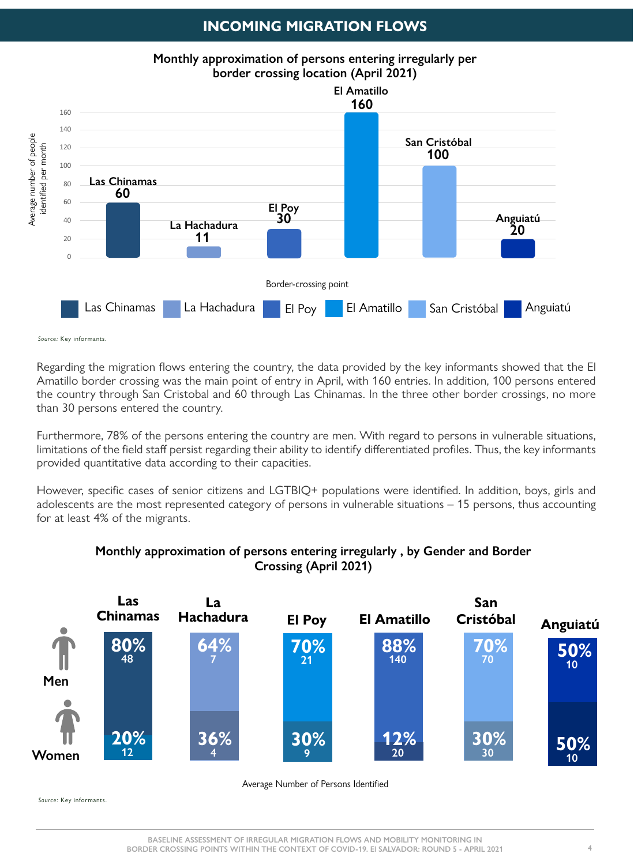Regarding the migration flows entering the country, the data provided by the key informants showed that the El Amatillo border crossing was the main point of entry in April, with 160 entries. In addition, 100 persons entered the country through San Cristobal and 60 through Las Chinamas. In the three other border crossings, no more than 30 persons entered the country.

However, specific cases of senior citizens and LGTBIQ+ populations were identified. In addition, boys, girls and adolescents are the most represented category of persons in vulnerable situations – 15 persons, thus accounting for at least 4% of the migrants.

Furthermore, 78% of the persons entering the country are men. With regard to persons in vulnerable situations, limitations of the field staff persist regarding their ability to identify differentiated profiles. Thus, the key informants provided quantitative data according to their capacities.





Average Number of Persons Identified

**BASELINE ASSESSMENT OF IRREGULAR MIGRATION FLOWS AND MOBILITY MONITORING IN BORDER CROSSING POINTS WITHIN THE CONTEXT OF COVID-19. El SALVADOR: ROUND 5 - APRIL 2021** 

Source: Key informants.

Source: Key informants.

#### **Monthly approximation of persons entering irregularly , by Gender and Border Crossing (April 2021)**

### **INCOMING MIGRATION FLOWS**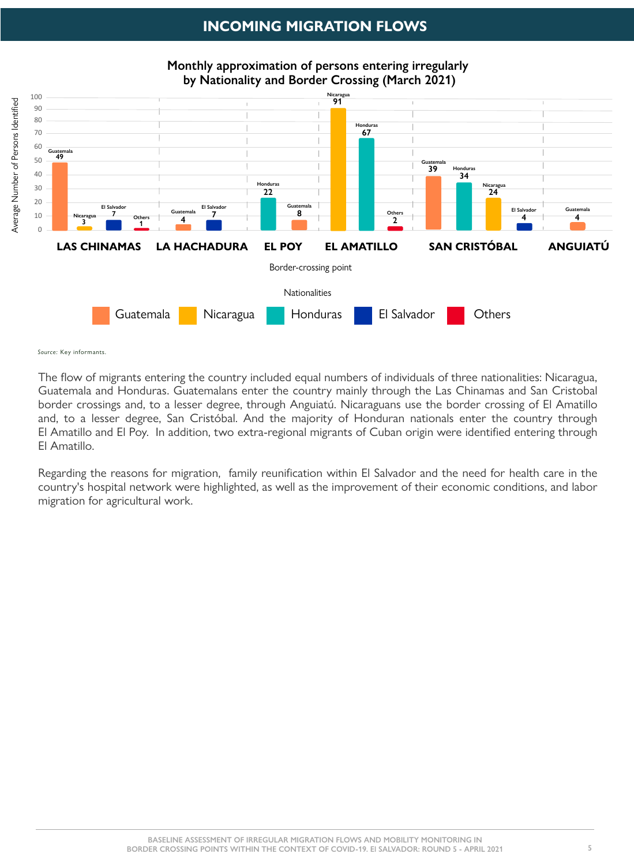The flow of migrants entering the country included equal numbers of individuals of three nationalities: Nicaragua, Guatemala and Honduras. Guatemalans enter the country mainly through the Las Chinamas and San Cristobal border crossings and, to a lesser degree, through Anguiatú. Nicaraguans use the border crossing of El Amatillo and, to a lesser degree, San Cristóbal. And the majority of Honduran nationals enter the country through El Amatillo and El Poy. In addition, two extra-regional migrants of Cuban origin were identified entering through El Amatillo.

Regarding the reasons for migration, family reunification within El Salvador and the need for health care in the country's hospital network were highlighted, as well as the improvement of their economic conditions, and labor migration for agricultural work.



Source: Key informants.

**Monthly approximation of persons entering irregularly by Nationality and Border Crossing (March 2021)**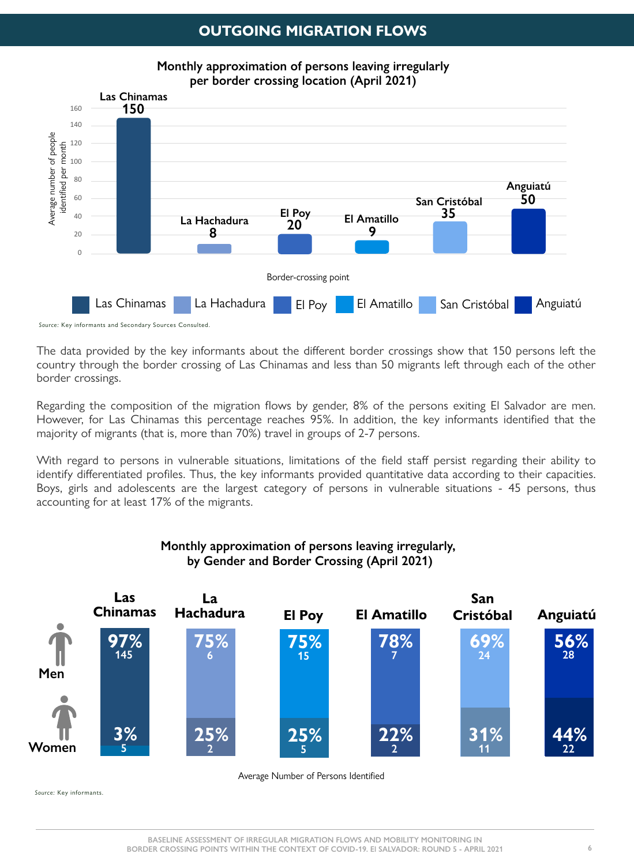The data provided by the key informants about the different border crossings show that 150 persons left the country through the border crossing of Las Chinamas and less than 50 migrants left through each of the other border crossings.

Regarding the composition of the migration flows by gender, 8% of the persons exiting El Salvador are men. However, for Las Chinamas this percentage reaches 95%. In addition, the key informants identified that the majority of migrants (that is, more than 70%) travel in groups of 2-7 persons.

With regard to persons in vulnerable situations, limitations of the field staff persist regarding their ability to identify differentiated profiles. Thus, the key informants provided quantitative data according to their capacities. Boys, girls and adolescents are the largest category of persons in vulnerable situations - 45 persons, thus accounting for at least 17% of the migrants.



Average Number of Persons Identified

### **OUTGOING MIGRATION FLOWS**



#### **Monthly approximation of persons leaving irregularly, by Gender and Border Crossing (April 2021)**

Source: Key informants.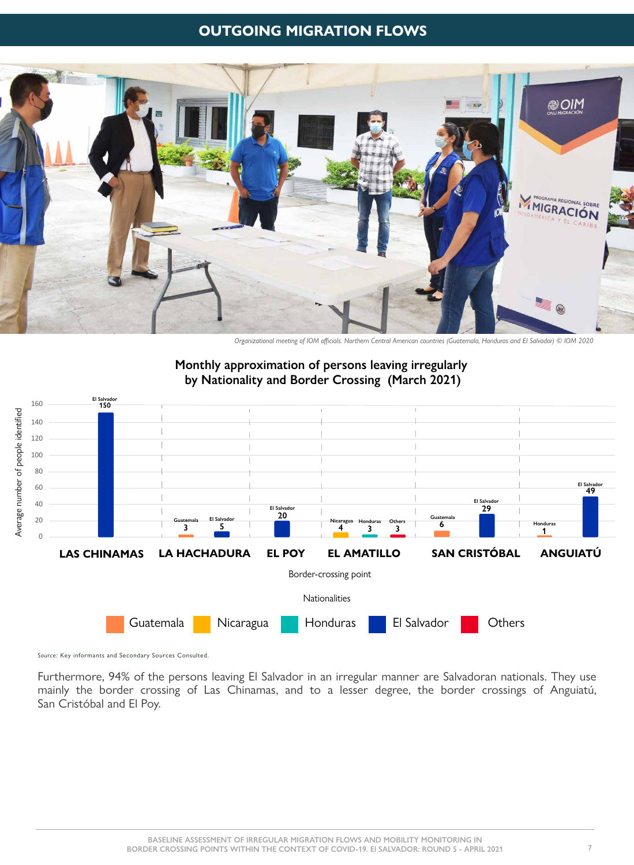Furthermore, 94% of the persons leaving El Salvador in an irregular manner are Salvadoran nationals. They use mainly the border crossing of Las Chinamas, and to a lesser degree, the border crossings of Anguiatú, San Cristóbal and El Poy.



### **OUTGOING MIGRATION FLOWS**



*Organizational meeting of IOM officials. Northern Central American countries (Guatemala, Honduras and El Salvador) © IOM 2020* 

Source: Key informants and Secondary Sources Consulted.

#### **Monthly approximation of persons leaving irregularly by Nationality and Border Crossing (March 2021)**